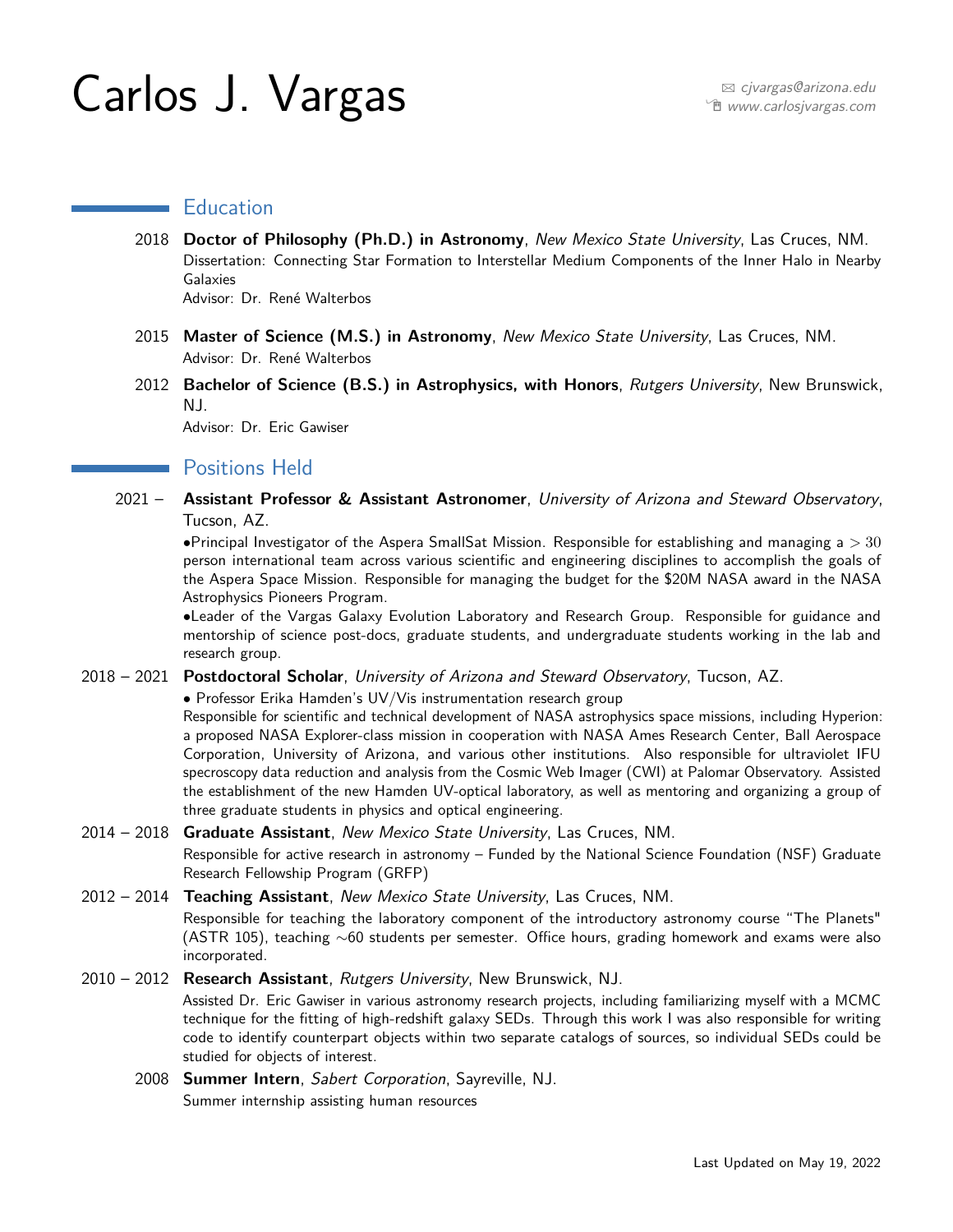# Carlos J. Vargas <sup>B</sup> [cjvargas@arizona.edu](mailto:cjvargas@arizona.edu)

# **Education**

- 2018 **Doctor of Philosophy (Ph.D.) in Astronomy**, New Mexico State University, Las Cruces, NM. Dissertation: Connecting Star Formation to Interstellar Medium Components of the Inner Halo in Nearby Galaxies Advisor: Dr. René Walterbos
- 2015 **Master of Science (M.S.) in Astronomy**, New Mexico State University, Las Cruces, NM. Advisor: Dr. René Walterbos
- 2012 **Bachelor of Science (B.S.) in Astrophysics, with Honors**, Rutgers University, New Brunswick, NJ.

Advisor: Dr. Eric Gawiser

# **Positions Held**

2021 – **Assistant Professor & Assistant Astronomer**, University of Arizona and Steward Observatory, Tucson, AZ.

•Principal Investigator of the Aspera SmallSat Mission. Responsible for establishing and managing a *>* 30 person international team across various scientific and engineering disciplines to accomplish the goals of the Aspera Space Mission. Responsible for managing the budget for the \$20M NASA award in the NASA Astrophysics Pioneers Program.

•Leader of the Vargas Galaxy Evolution Laboratory and Research Group. Responsible for guidance and mentorship of science post-docs, graduate students, and undergraduate students working in the lab and research group.

2018 – 2021 **Postdoctoral Scholar**, University of Arizona and Steward Observatory, Tucson, AZ.

• Professor Erika Hamden's UV/Vis instrumentation research group

Responsible for scientific and technical development of NASA astrophysics space missions, including Hyperion: a proposed NASA Explorer-class mission in cooperation with NASA Ames Research Center, Ball Aerospace Corporation, University of Arizona, and various other institutions. Also responsible for ultraviolet IFU specroscopy data reduction and analysis from the Cosmic Web Imager (CWI) at Palomar Observatory. Assisted the establishment of the new Hamden UV-optical laboratory, as well as mentoring and organizing a group of three graduate students in physics and optical engineering.

### 2014 – 2018 **Graduate Assistant**, New Mexico State University, Las Cruces, NM.

Responsible for active research in astronomy – Funded by the National Science Foundation (NSF) Graduate Research Fellowship Program (GRFP)

2012 – 2014 **Teaching Assistant**, New Mexico State University, Las Cruces, NM.

Responsible for teaching the laboratory component of the introductory astronomy course "The Planets" (ASTR 105), teaching ∼60 students per semester. Office hours, grading homework and exams were also incorporated.

## 2010 – 2012 **Research Assistant**, Rutgers University, New Brunswick, NJ.

Assisted Dr. Eric Gawiser in various astronomy research projects, including familiarizing myself with a MCMC technique for the fitting of high-redshift galaxy SEDs. Through this work I was also responsible for writing code to identify counterpart objects within two separate catalogs of sources, so individual SEDs could be studied for objects of interest.

2008 **Summer Intern**, Sabert Corporation, Sayreville, NJ. Summer internship assisting human resources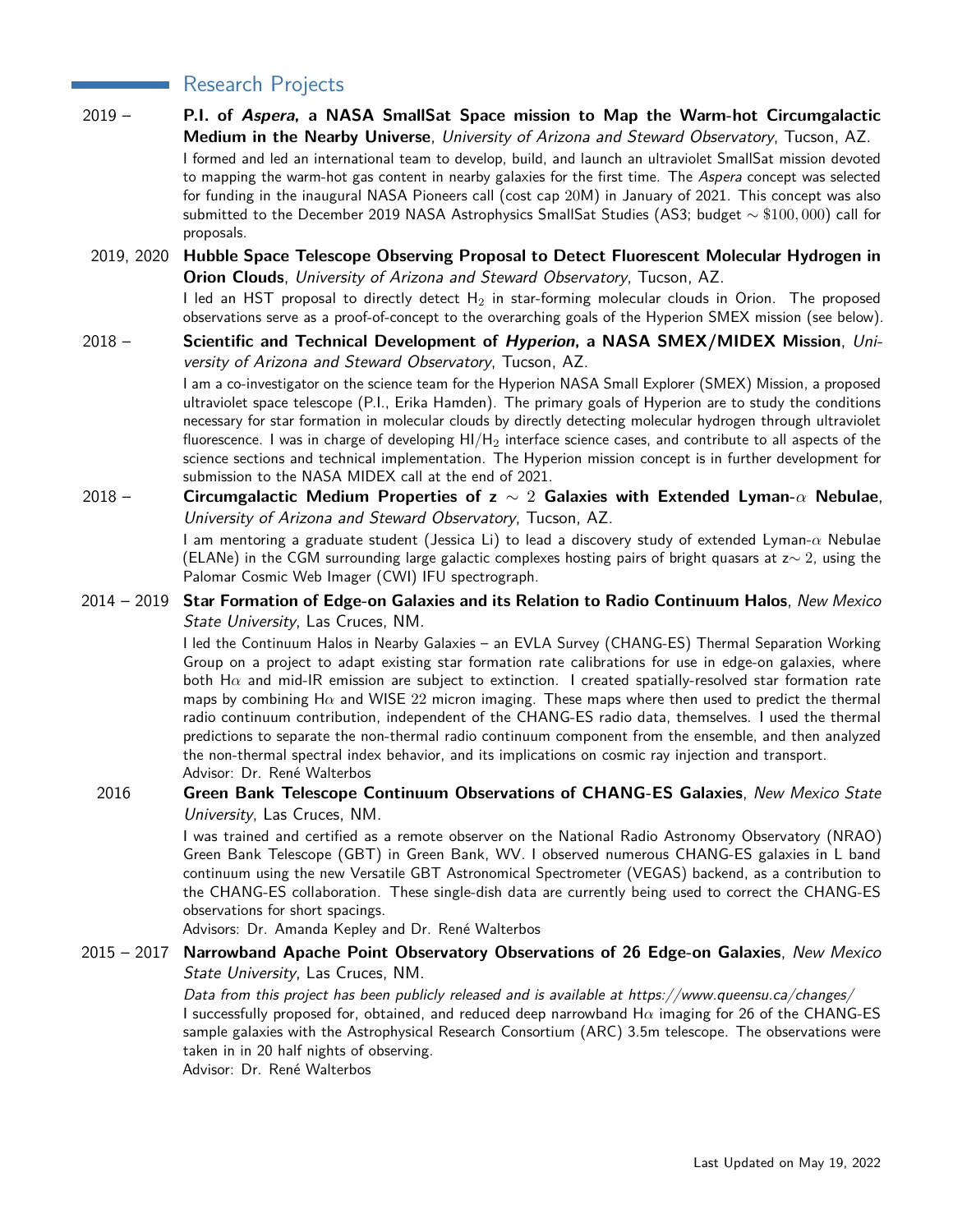# Research Projects

- 2019 **P.I. of Aspera, a NASA SmallSat Space mission to Map the Warm-hot Circumgalactic Medium in the Nearby Universe**, University of Arizona and Steward Observatory, Tucson, AZ. I formed and led an international team to develop, build, and launch an ultraviolet SmallSat mission devoted to mapping the warm-hot gas content in nearby galaxies for the first time. The Aspera concept was selected for funding in the inaugural NASA Pioneers call (cost cap 20M) in January of 2021. This concept was also submitted to the December 2019 NASA Astrophysics SmallSat Studies (AS3; budget ∼ \$100*,* 000) call for proposals.
- 2019, 2020 **Hubble Space Telescope Observing Proposal to Detect Fluorescent Molecular Hydrogen in Orion Clouds**, University of Arizona and Steward Observatory, Tucson, AZ. I led an HST proposal to directly detect  $H_2$  in star-forming molecular clouds in Orion. The proposed observations serve as a proof-of-concept to the overarching goals of the Hyperion SMEX mission (see below).
- 2018 Scientific and Technical Development of *Hyperion*, a NASA SMEX/MIDEX Mission, University of Arizona and Steward Observatory, Tucson, AZ. I am a co-investigator on the science team for the Hyperion NASA Small Explorer (SMEX) Mission, a proposed ultraviolet space telescope (P.I., Erika Hamden). The primary goals of Hyperion are to study the conditions necessary for star formation in molecular clouds by directly detecting molecular hydrogen through ultraviolet fluorescence. I was in charge of developing  $HI/H<sub>2</sub>$  interface science cases, and contribute to all aspects of the science sections and technical implementation. The Hyperion mission concept is in further development for submission to the NASA MIDEX call at the end of 2021. 2018 – 20xx **Circumgalactic Medium Properties of z** ∼ 2 **Galaxies with Extended Lyman-***α* **Nebulae**,
- University of Arizona and Steward Observatory, Tucson, AZ. I am mentoring a graduate student (Jessica Li) to lead a discovery study of extended Lyman-*α* Nebulae (ELANe) in the CGM surrounding large galactic complexes hosting pairs of bright quasars at z∼ 2, using the Palomar Cosmic Web Imager (CWI) IFU spectrograph.
- 2014 2019 **Star Formation of Edge-on Galaxies and its Relation to Radio Continuum Halos**, New Mexico State University, Las Cruces, NM.

I led the Continuum Halos in Nearby Galaxies – an EVLA Survey (CHANG-ES) Thermal Separation Working Group on a project to adapt existing star formation rate calibrations for use in edge-on galaxies, where both  $H\alpha$  and mid-IR emission are subject to extinction. I created spatially-resolved star formation rate maps by combining H*α* and WISE 22 micron imaging. These maps where then used to predict the thermal radio continuum contribution, independent of the CHANG-ES radio data, themselves. I used the thermal predictions to separate the non-thermal radio continuum component from the ensemble, and then analyzed the non-thermal spectral index behavior, and its implications on cosmic ray injection and transport. Advisor: Dr. René Walterbos

2016 **Green Bank Telescope Continuum Observations of CHANG-ES Galaxies**, New Mexico State University, Las Cruces, NM.

> I was trained and certified as a remote observer on the National Radio Astronomy Observatory (NRAO) Green Bank Telescope (GBT) in Green Bank, WV. I observed numerous CHANG-ES galaxies in L band continuum using the new Versatile GBT Astronomical Spectrometer (VEGAS) backend, as a contribution to the CHANG-ES collaboration. These single-dish data are currently being used to correct the CHANG-ES observations for short spacings.

Advisors: Dr. Amanda Kepley and Dr. René Walterbos

2015 – 2017 **Narrowband Apache Point Observatory Observations of 26 Edge-on Galaxies**, New Mexico State University, Las Cruces, NM.

> Data from this project has been publicly released and is available at https://www.queensu.ca/changes/ I successfully proposed for, obtained, and reduced deep narrowband H*α* imaging for 26 of the CHANG-ES sample galaxies with the Astrophysical Research Consortium (ARC) 3.5m telescope. The observations were taken in in 20 half nights of observing. Advisor: Dr. René Walterbos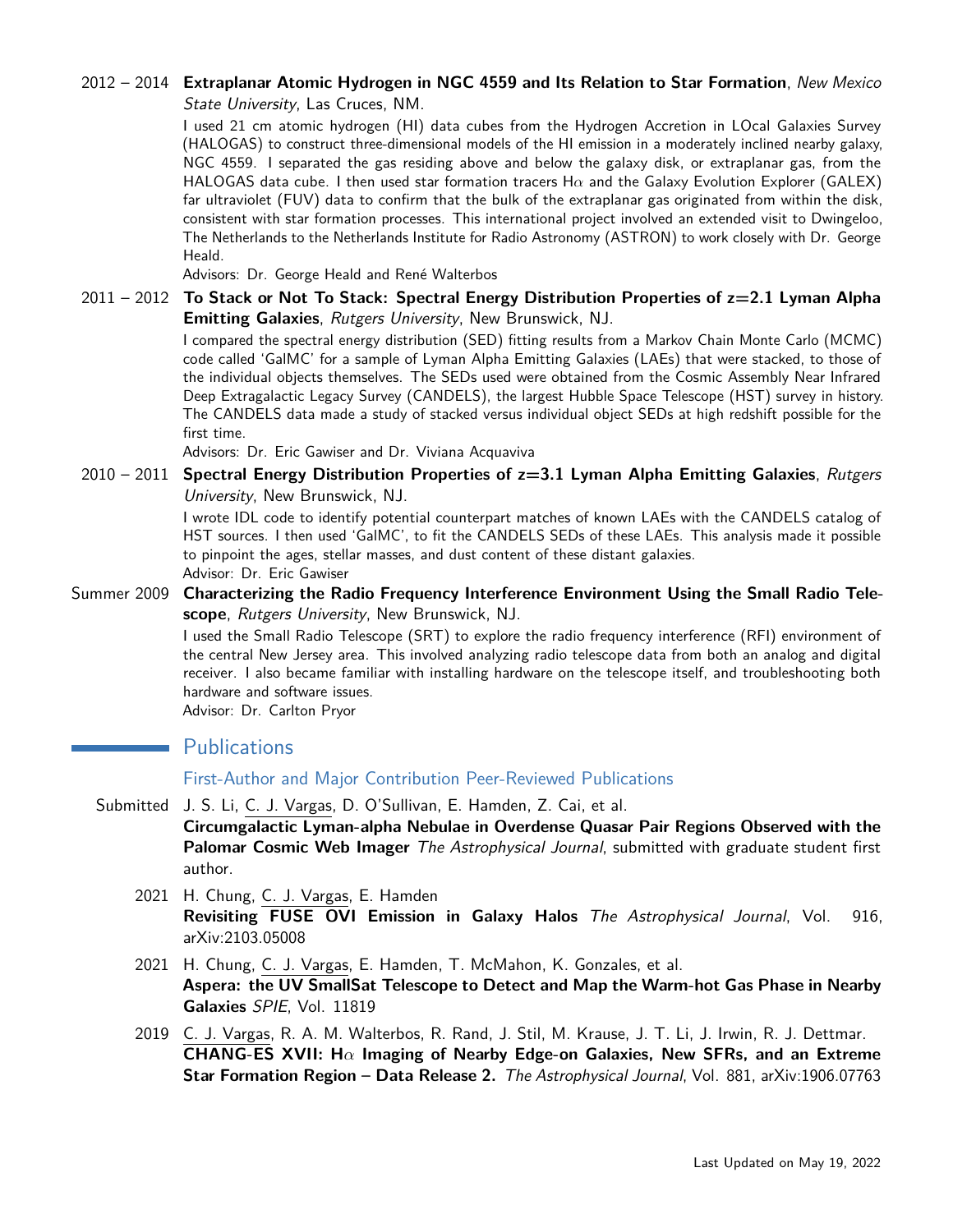## 2012 – 2014 **Extraplanar Atomic Hydrogen in NGC 4559 and Its Relation to Star Formation**, New Mexico State University, Las Cruces, NM.

I used 21 cm atomic hydrogen (HI) data cubes from the Hydrogen Accretion in LOcal Galaxies Survey (HALOGAS) to construct three-dimensional models of the HI emission in a moderately inclined nearby galaxy, NGC 4559. I separated the gas residing above and below the galaxy disk, or extraplanar gas, from the HALOGAS data cube. I then used star formation tracers H*α* and the Galaxy Evolution Explorer (GALEX) far ultraviolet (FUV) data to confirm that the bulk of the extraplanar gas originated from within the disk, consistent with star formation processes. This international project involved an extended visit to Dwingeloo, The Netherlands to the Netherlands Institute for Radio Astronomy (ASTRON) to work closely with Dr. George Heald.

Advisors: Dr. George Heald and René Walterbos

2011 – 2012 **To Stack or Not To Stack: Spectral Energy Distribution Properties of z=2.1 Lyman Alpha Emitting Galaxies**, Rutgers University, New Brunswick, NJ.

> I compared the spectral energy distribution (SED) fitting results from a Markov Chain Monte Carlo (MCMC) code called 'GalMC' for a sample of Lyman Alpha Emitting Galaxies (LAEs) that were stacked, to those of the individual objects themselves. The SEDs used were obtained from the Cosmic Assembly Near Infrared Deep Extragalactic Legacy Survey (CANDELS), the largest Hubble Space Telescope (HST) survey in history. The CANDELS data made a study of stacked versus individual object SEDs at high redshift possible for the first time.

Advisors: Dr. Eric Gawiser and Dr. Viviana Acquaviva

2010 – 2011 **Spectral Energy Distribution Properties of z=3.1 Lyman Alpha Emitting Galaxies**, Rutgers University, New Brunswick, NJ.

> I wrote IDL code to identify potential counterpart matches of known LAEs with the CANDELS catalog of HST sources. I then used 'GalMC', to fit the CANDELS SEDs of these LAEs. This analysis made it possible to pinpoint the ages, stellar masses, and dust content of these distant galaxies. Advisor: Dr. Eric Gawiser

Summer 2009 **Characterizing the Radio Frequency Interference Environment Using the Small Radio Telescope**, Rutgers University, New Brunswick, NJ.

> I used the Small Radio Telescope (SRT) to explore the radio frequency interference (RFI) environment of the central New Jersey area. This involved analyzing radio telescope data from both an analog and digital receiver. I also became familiar with installing hardware on the telescope itself, and troubleshooting both hardware and software issues.

Advisor: Dr. Carlton Pryor

# **Publications**

## First-Author and Major Contribution Peer-Reviewed Publications

- Submitted J. S. Li, C. J. Vargas, D. O'Sullivan, E. Hamden, Z. Cai, et al. **Circumgalactic Lyman-alpha Nebulae in Overdense Quasar Pair Regions Observed with the Palomar Cosmic Web Imager** The Astrophysical Journal, submitted with graduate student first author.
	- 2021 H. Chung, C. J. Vargas, E. Hamden **Revisiting FUSE OVI Emission in Galaxy Halos** The Astrophysical Journal, Vol. 916, arXiv:2103.05008
	- 2021 H. Chung, C. J. Vargas, E. Hamden, T. McMahon, K. Gonzales, et al. **Aspera: the UV SmallSat Telescope to Detect and Map the Warm-hot Gas Phase in Nearby Galaxies** SPIE, Vol. 11819
	- 2019 C. J. Vargas, R. A. M. Walterbos, R. Rand, J. Stil, M. Krause, J. T. Li, J. Irwin, R. J. Dettmar. **CHANG-ES XVII: H***α* **Imaging of Nearby Edge-on Galaxies, New SFRs, and an Extreme Star Formation Region – Data Release 2.** The Astrophysical Journal, Vol. 881, arXiv:1906.07763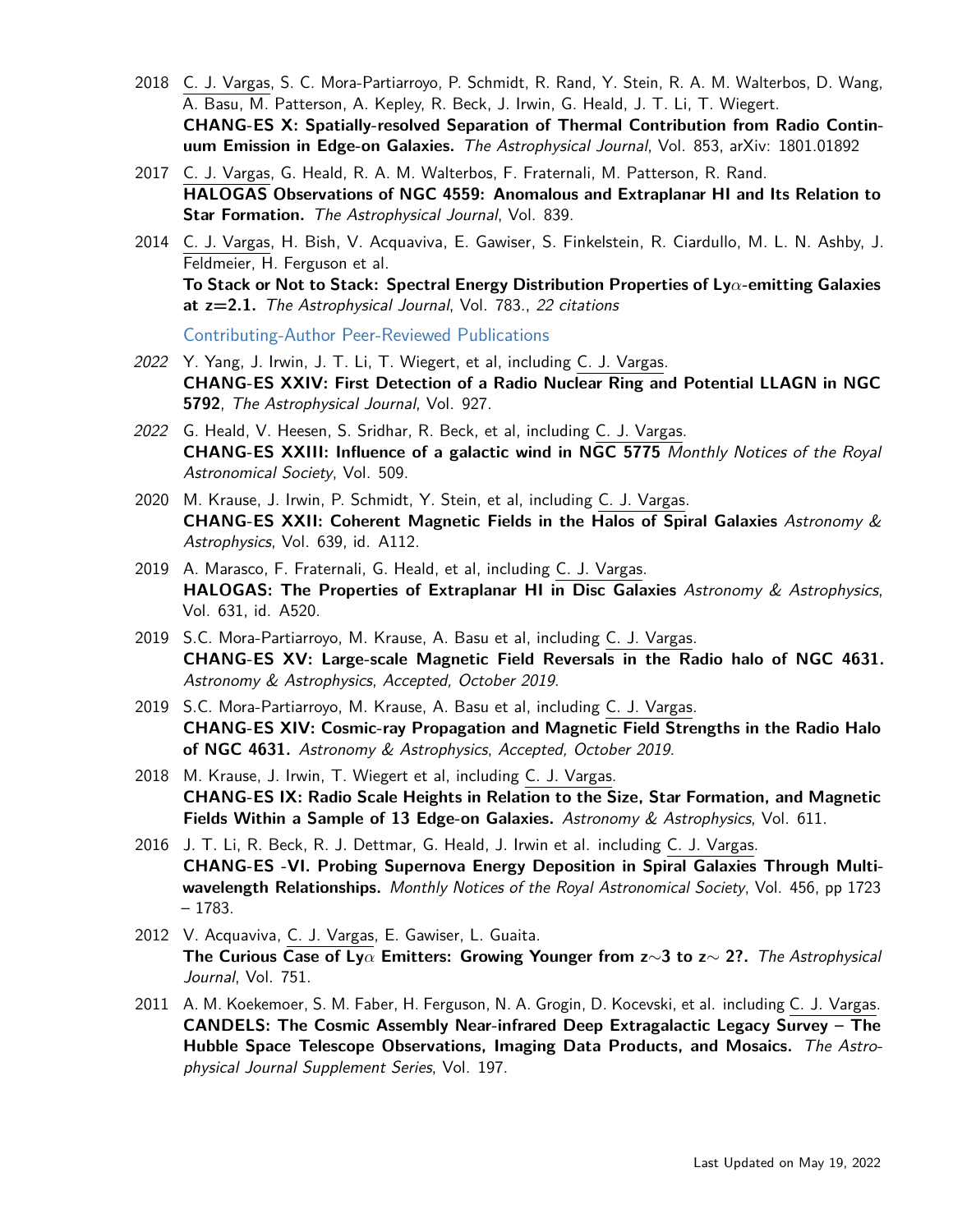- 2018 C. J. Vargas, S. C. Mora-Partiarroyo, P. Schmidt, R. Rand, Y. Stein, R. A. M. Walterbos, D. Wang, A. Basu, M. Patterson, A. Kepley, R. Beck, J. Irwin, G. Heald, J. T. Li, T. Wiegert. **CHANG-ES X: Spatially-resolved Separation of Thermal Contribution from Radio Continuum Emission in Edge-on Galaxies.** The Astrophysical Journal, Vol. 853, arXiv: 1801.01892
- 2017 C. J. Vargas, G. Heald, R. A. M. Walterbos, F. Fraternali, M. Patterson, R. Rand. **HALOGAS Observations of NGC 4559: Anomalous and Extraplanar HI and Its Relation to Star Formation.** The Astrophysical Journal, Vol. 839.
- 2014 C. J. Vargas, H. Bish, V. Acquaviva, E. Gawiser, S. Finkelstein, R. Ciardullo, M. L. N. Ashby, J. Feldmeier, H. Ferguson et al. **To Stack or Not to Stack: Spectral Energy Distribution Properties of Ly***α***-emitting Galaxies at z=2.1.** The Astrophysical Journal, Vol. 783., 22 citations

Contributing-Author Peer-Reviewed Publications

- 2022 Y. Yang, J. Irwin, J. T. Li, T. Wiegert, et al, including C. J. Vargas. **CHANG-ES XXIV: First Detection of a Radio Nuclear Ring and Potential LLAGN in NGC 5792**, The Astrophysical Journal, Vol. 927.
- 2022 G. Heald, V. Heesen, S. Sridhar, R. Beck, et al, including C. J. Vargas. **CHANG-ES XXIII: Influence of a galactic wind in NGC 5775** Monthly Notices of the Royal Astronomical Society, Vol. 509.
- 2020 M. Krause, J. Irwin, P. Schmidt, Y. Stein, et al, including C. J. Vargas. **CHANG-ES XXII: Coherent Magnetic Fields in the Halos of Spiral Galaxies** Astronomy & Astrophysics, Vol. 639, id. A112.
- 2019 A. Marasco, F. Fraternali, G. Heald, et al, including C. J. Vargas. **HALOGAS: The Properties of Extraplanar HI in Disc Galaxies** Astronomy & Astrophysics, Vol. 631, id. A520.
- 2019 S.C. Mora-Partiarroyo, M. Krause, A. Basu et al, including C. J. Vargas. **CHANG-ES XV: Large-scale Magnetic Field Reversals in the Radio halo of NGC 4631.** Astronomy & Astrophysics, Accepted, October 2019.
- 2019 S.C. Mora-Partiarroyo, M. Krause, A. Basu et al, including C. J. Vargas. **CHANG-ES XIV: Cosmic-ray Propagation and Magnetic Field Strengths in the Radio Halo of NGC 4631.** Astronomy & Astrophysics, Accepted, October 2019.
- 2018 M. Krause, J. Irwin, T. Wiegert et al, including C. J. Vargas. **CHANG-ES IX: Radio Scale Heights in Relation to the Size, Star Formation, and Magnetic Fields Within a Sample of 13 Edge-on Galaxies.** Astronomy & Astrophysics, Vol. 611.
- 2016 J. T. Li, R. Beck, R. J. Dettmar, G. Heald, J. Irwin et al. including C. J. Vargas. **CHANG-ES -VI. Probing Supernova Energy Deposition in Spiral Galaxies Through Multiwavelength Relationships.** Monthly Notices of the Royal Astronomical Society, Vol. 456, pp 1723 – 1783.
- 2012 V. Acquaviva, C. J. Vargas, E. Gawiser, L. Guaita. **The Curious Case of Ly***α* **Emitters: Growing Younger from z**∼**3 to z**∼ **2?.** The Astrophysical Journal, Vol. 751.
- 2011 A. M. Koekemoer, S. M. Faber, H. Ferguson, N. A. Grogin, D. Kocevski, et al. including C. J. Vargas. **CANDELS: The Cosmic Assembly Near-infrared Deep Extragalactic Legacy Survey – The Hubble Space Telescope Observations, Imaging Data Products, and Mosaics.** The Astrophysical Journal Supplement Series, Vol. 197.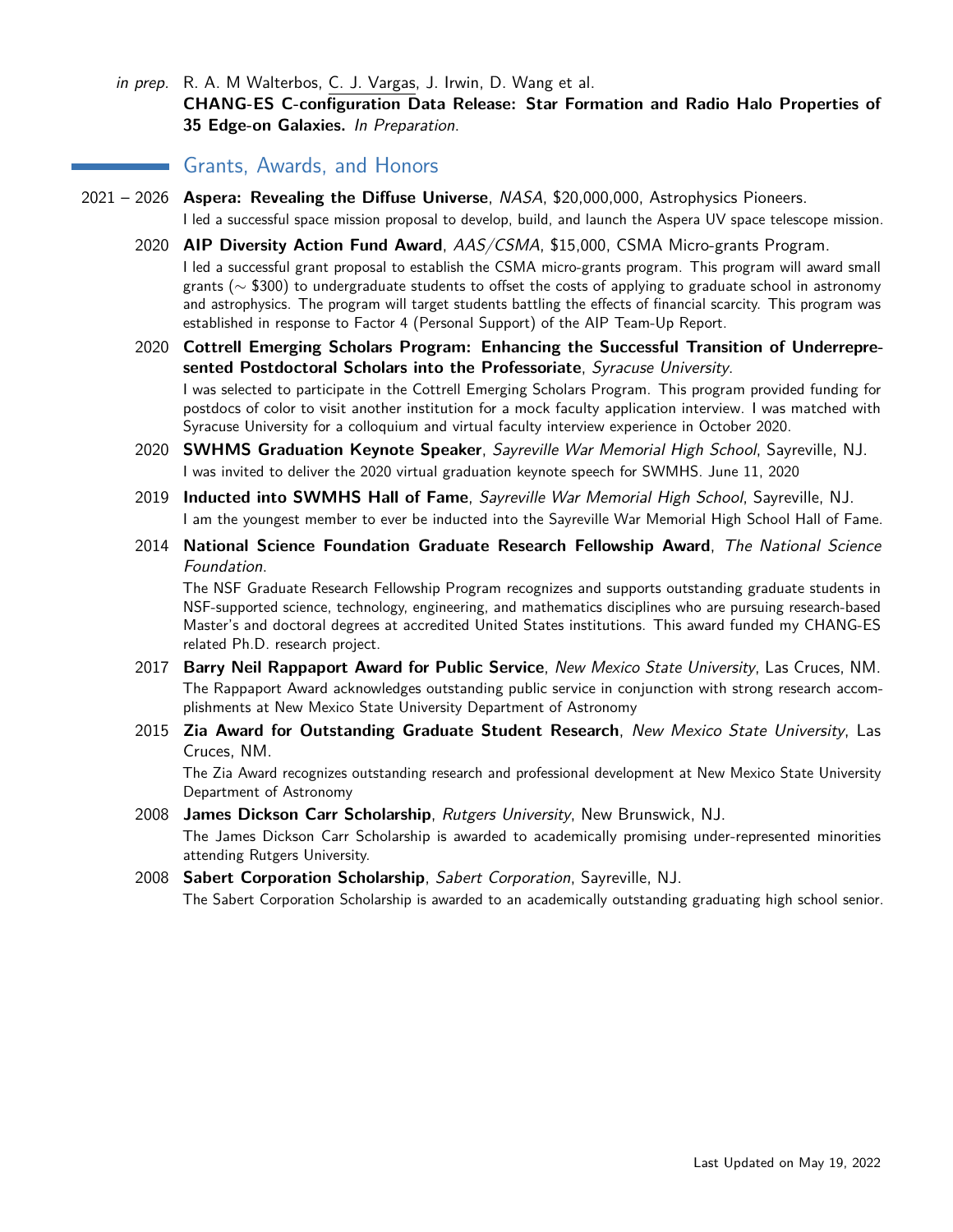in prep. R. A. M Walterbos, C. J. Vargas, J. Irwin, D. Wang et al. **CHANG-ES C-configuration Data Release: Star Formation and Radio Halo Properties of 35 Edge-on Galaxies.** In Preparation.

# **Grants, Awards, and Honors**

- 2021 2026 **Aspera: Revealing the Diffuse Universe**, NASA, \$20,000,000, Astrophysics Pioneers. I led a successful space mission proposal to develop, build, and launch the Aspera UV space telescope mission.
	- 2020 **AIP Diversity Action Fund Award**, AAS/CSMA, \$15,000, CSMA Micro-grants Program. I led a successful grant proposal to establish the CSMA micro-grants program. This program will award small grants (∼ \$300) to undergraduate students to offset the costs of applying to graduate school in astronomy and astrophysics. The program will target students battling the effects of financial scarcity. This program was established in response to Factor 4 (Personal Support) of the AIP Team-Up Report.
	- 2020 **Cottrell Emerging Scholars Program: Enhancing the Successful Transition of Underrepresented Postdoctoral Scholars into the Professoriate**, Syracuse University. I was selected to participate in the Cottrell Emerging Scholars Program. This program provided funding for postdocs of color to visit another institution for a mock faculty application interview. I was matched with Syracuse University for a colloquium and virtual faculty interview experience in October 2020.
	- 2020 **SWHMS Graduation Keynote Speaker**, Sayreville War Memorial High School, Sayreville, NJ. I was invited to deliver the 2020 virtual graduation keynote speech for SWMHS. June 11, 2020
	- 2019 **Inducted into SWMHS Hall of Fame**, Sayreville War Memorial High School, Sayreville, NJ. I am the youngest member to ever be inducted into the Sayreville War Memorial High School Hall of Fame.
	- 2014 **National Science Foundation Graduate Research Fellowship Award**, The National Science Foundation.

The NSF Graduate Research Fellowship Program recognizes and supports outstanding graduate students in NSF-supported science, technology, engineering, and mathematics disciplines who are pursuing research-based Master's and doctoral degrees at accredited United States institutions. This award funded my CHANG-ES related Ph.D. research project.

- 2017 **Barry Neil Rappaport Award for Public Service**, New Mexico State University, Las Cruces, NM. The Rappaport Award acknowledges outstanding public service in conjunction with strong research accomplishments at New Mexico State University Department of Astronomy
- 2015 **Zia Award for Outstanding Graduate Student Research**, New Mexico State University, Las Cruces, NM.

The Zia Award recognizes outstanding research and professional development at New Mexico State University Department of Astronomy

2008 **James Dickson Carr Scholarship**, Rutgers University, New Brunswick, NJ.

The James Dickson Carr Scholarship is awarded to academically promising under-represented minorities attending Rutgers University.

2008 **Sabert Corporation Scholarship**, Sabert Corporation, Sayreville, NJ. The Sabert Corporation Scholarship is awarded to an academically outstanding graduating high school senior.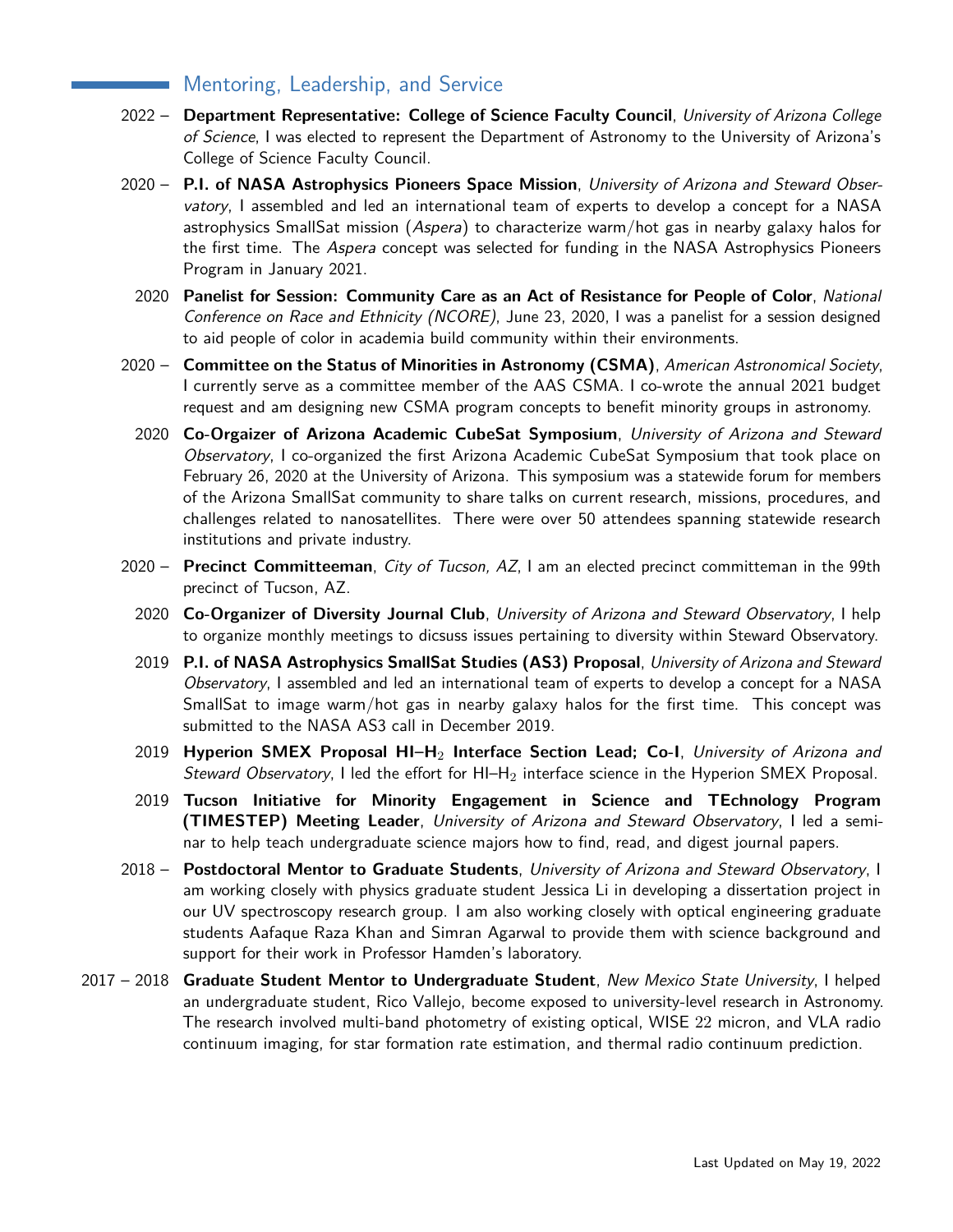# Mentoring, Leadership, and Service

- 2022 **Department Representative: College of Science Faculty Council**, University of Arizona College of Science, I was elected to represent the Department of Astronomy to the University of Arizona's College of Science Faculty Council.
- 2020 **P.I. of NASA Astrophysics Pioneers Space Mission**, University of Arizona and Steward Observatory, I assembled and led an international team of experts to develop a concept for a NASA astrophysics SmallSat mission (Aspera) to characterize warm/hot gas in nearby galaxy halos for the first time. The Aspera concept was selected for funding in the NASA Astrophysics Pioneers Program in January 2021.
	- 2020 **Panelist for Session: Community Care as an Act of Resistance for People of Color**, National Conference on Race and Ethnicity (NCORE), June 23, 2020, I was a panelist for a session designed to aid people of color in academia build community within their environments.
- 2020 **Committee on the Status of Minorities in Astronomy (CSMA)**, American Astronomical Society, I currently serve as a committee member of the AAS CSMA. I co-wrote the annual 2021 budget request and am designing new CSMA program concepts to benefit minority groups in astronomy.
	- 2020 **Co-Orgaizer of Arizona Academic CubeSat Symposium**, University of Arizona and Steward Observatory, I co-organized the first Arizona Academic CubeSat Symposium that took place on February 26, 2020 at the University of Arizona. This symposium was a statewide forum for members of the Arizona SmallSat community to share talks on current research, missions, procedures, and challenges related to nanosatellites. There were over 50 attendees spanning statewide research institutions and private industry.
- 2020 **Precinct Committeeman**, City of Tucson, AZ, I am an elected precinct committeman in the 99th precinct of Tucson, AZ.
	- 2020 **Co-Organizer of Diversity Journal Club**, University of Arizona and Steward Observatory, I help to organize monthly meetings to dicsuss issues pertaining to diversity within Steward Observatory.
	- 2019 **P.I. of NASA Astrophysics SmallSat Studies (AS3) Proposal**, University of Arizona and Steward Observatory, I assembled and led an international team of experts to develop a concept for a NASA SmallSat to image warm/hot gas in nearby galaxy halos for the first time. This concept was submitted to the NASA AS3 call in December 2019.
	- 2019 **Hyperion SMEX Proposal HI–H**<sup>2</sup> **Interface Section Lead; Co-I**, University of Arizona and Steward Observatory, I led the effort for  $H1-H_2$  interface science in the Hyperion SMEX Proposal.
	- 2019 **Tucson Initiative for Minority Engagement in Science and TEchnology Program (TIMESTEP) Meeting Leader**, University of Arizona and Steward Observatory, I led a seminar to help teach undergraduate science majors how to find, read, and digest journal papers.
- 2018 **Postdoctoral Mentor to Graduate Students**, University of Arizona and Steward Observatory, I am working closely with physics graduate student Jessica Li in developing a dissertation project in our UV spectroscopy research group. I am also working closely with optical engineering graduate students Aafaque Raza Khan and Simran Agarwal to provide them with science background and support for their work in Professor Hamden's laboratory.
- 2017 2018 **Graduate Student Mentor to Undergraduate Student**, New Mexico State University, I helped an undergraduate student, Rico Vallejo, become exposed to university-level research in Astronomy. The research involved multi-band photometry of existing optical, WISE 22 micron, and VLA radio continuum imaging, for star formation rate estimation, and thermal radio continuum prediction.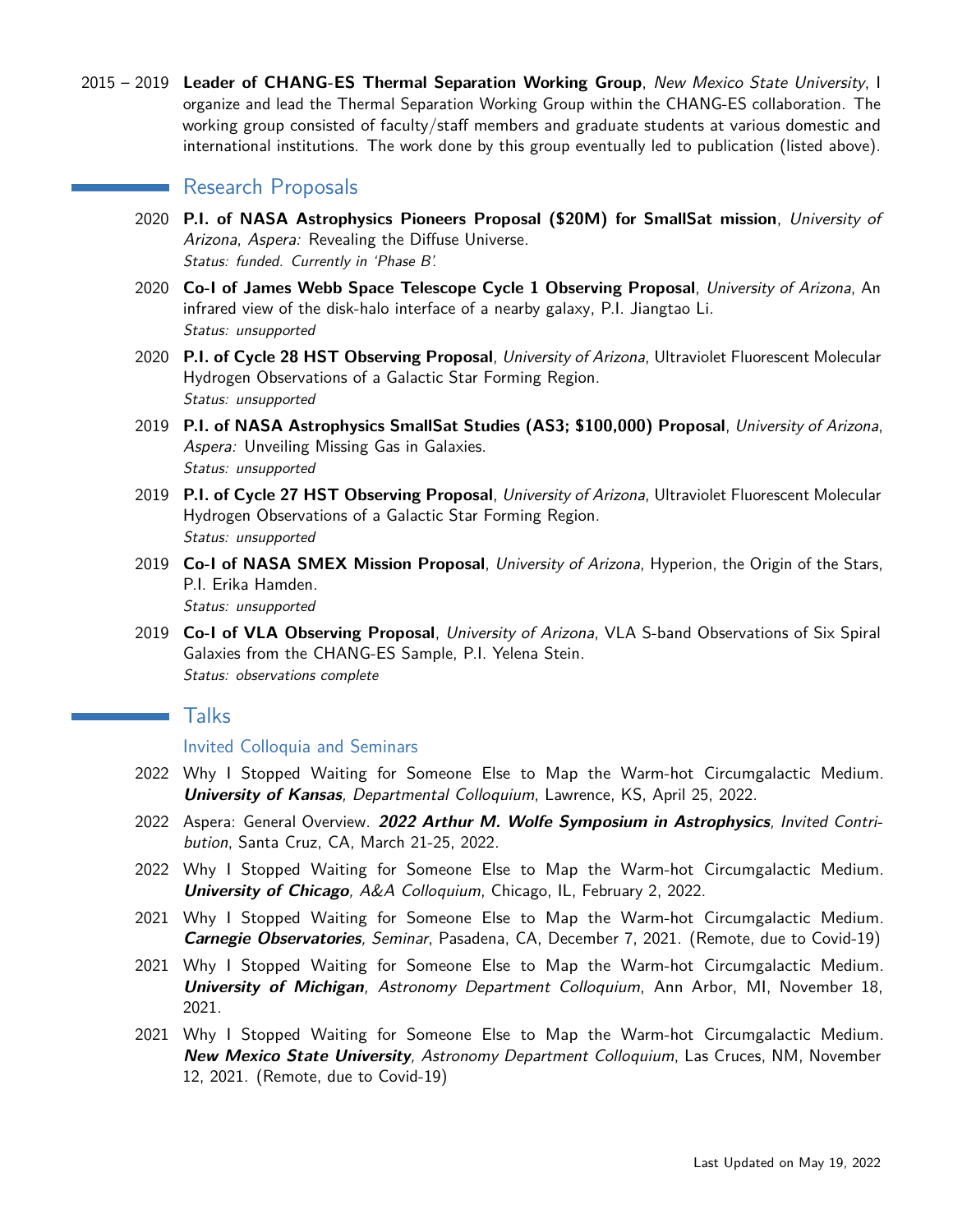2015 – 2019 **Leader of CHANG-ES Thermal Separation Working Group**, New Mexico State University, I organize and lead the Thermal Separation Working Group within the CHANG-ES collaboration. The working group consisted of faculty/staff members and graduate students at various domestic and international institutions. The work done by this group eventually led to publication (listed above).

## **Research Proposals**

- 2020 **P.I. of NASA Astrophysics Pioneers Proposal (\$20M) for SmallSat mission**, University of Arizona, Aspera: Revealing the Diffuse Universe. Status: funded. Currently in 'Phase B'.
- 2020 **Co-I of James Webb Space Telescope Cycle 1 Observing Proposal**, University of Arizona, An infrared view of the disk-halo interface of a nearby galaxy, P.I. Jiangtao Li. Status: unsupported
- 2020 **P.I. of Cycle 28 HST Observing Proposal**, University of Arizona, Ultraviolet Fluorescent Molecular Hydrogen Observations of a Galactic Star Forming Region. Status: unsupported
- 2019 **P.I. of NASA Astrophysics SmallSat Studies (AS3; \$100,000) Proposal**, University of Arizona, Aspera: Unveiling Missing Gas in Galaxies. Status: unsupported
- 2019 **P.I. of Cycle 27 HST Observing Proposal**, University of Arizona, Ultraviolet Fluorescent Molecular Hydrogen Observations of a Galactic Star Forming Region. Status: unsupported
- 2019 **Co-I of NASA SMEX Mission Proposal**, University of Arizona, Hyperion, the Origin of the Stars, P.I. Erika Hamden. Status: unsupported
- 2019 **Co-I of VLA Observing Proposal**, University of Arizona, VLA S-band Observations of Six Spiral Galaxies from the CHANG-ES Sample, P.I. Yelena Stein. Status: observations complete

# Talks

Invited Colloquia and Seminars

- 2022 Why I Stopped Waiting for Someone Else to Map the Warm-hot Circumgalactic Medium. **University of Kansas**, Departmental Colloquium, Lawrence, KS, April 25, 2022.
- 2022 Aspera: General Overview. **2022 Arthur M. Wolfe Symposium in Astrophysics**, Invited Contribution, Santa Cruz, CA, March 21-25, 2022.
- 2022 Why I Stopped Waiting for Someone Else to Map the Warm-hot Circumgalactic Medium. **University of Chicago**, A&A Colloquium, Chicago, IL, February 2, 2022.
- 2021 Why I Stopped Waiting for Someone Else to Map the Warm-hot Circumgalactic Medium. **Carnegie Observatories**, Seminar, Pasadena, CA, December 7, 2021. (Remote, due to Covid-19)
- 2021 Why I Stopped Waiting for Someone Else to Map the Warm-hot Circumgalactic Medium. **University of Michigan**, Astronomy Department Colloquium, Ann Arbor, MI, November 18, 2021.
- 2021 Why I Stopped Waiting for Someone Else to Map the Warm-hot Circumgalactic Medium. **New Mexico State University**, Astronomy Department Colloquium, Las Cruces, NM, November 12, 2021. (Remote, due to Covid-19)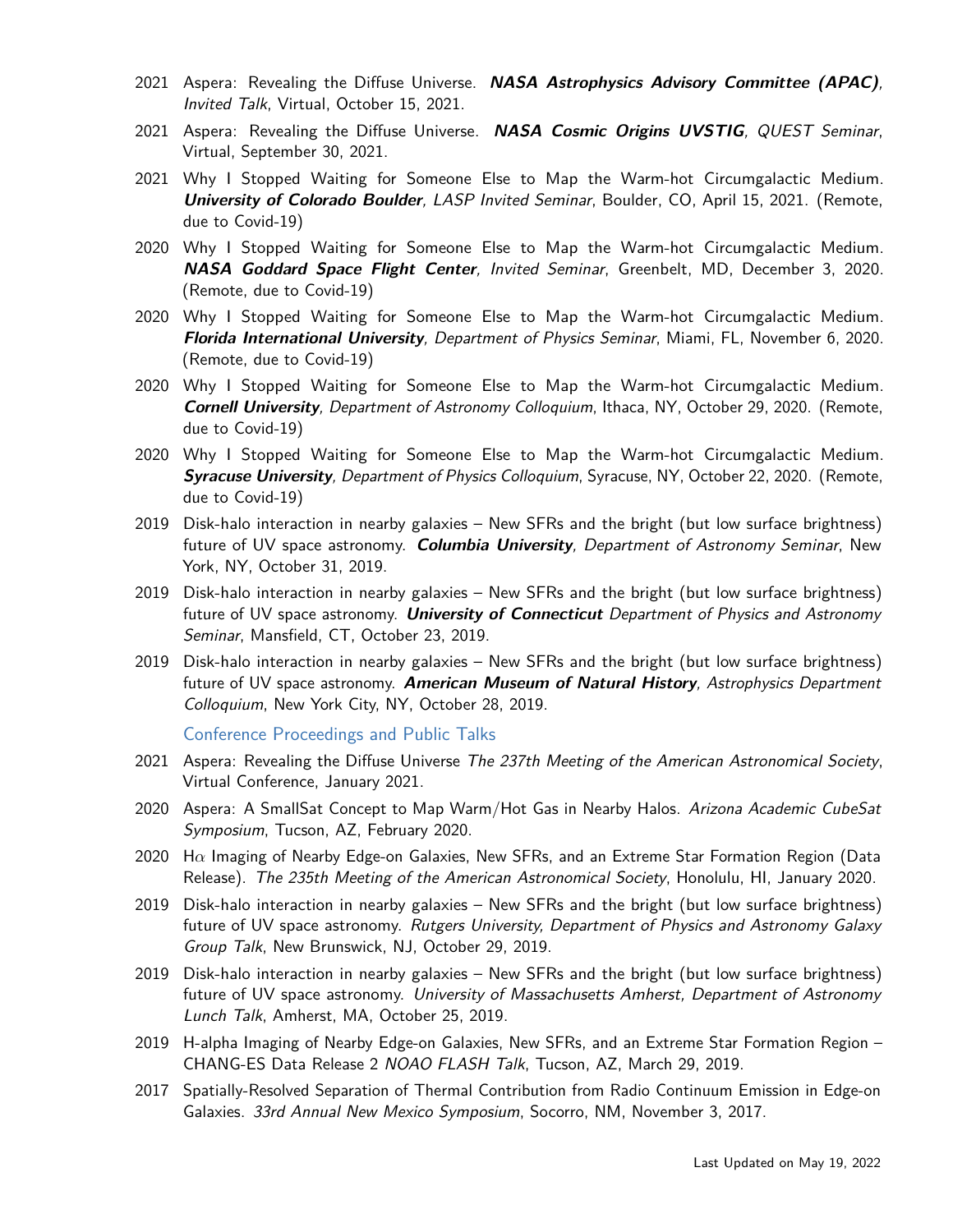- 2021 Aspera: Revealing the Diffuse Universe. **NASA Astrophysics Advisory Committee (APAC)**, Invited Talk, Virtual, October 15, 2021.
- 2021 Aspera: Revealing the Diffuse Universe. **NASA Cosmic Origins UVSTIG**, QUEST Seminar, Virtual, September 30, 2021.
- 2021 Why I Stopped Waiting for Someone Else to Map the Warm-hot Circumgalactic Medium. **University of Colorado Boulder**, LASP Invited Seminar, Boulder, CO, April 15, 2021. (Remote, due to Covid-19)
- 2020 Why I Stopped Waiting for Someone Else to Map the Warm-hot Circumgalactic Medium. **NASA Goddard Space Flight Center**, Invited Seminar, Greenbelt, MD, December 3, 2020. (Remote, due to Covid-19)
- 2020 Why I Stopped Waiting for Someone Else to Map the Warm-hot Circumgalactic Medium. **Florida International University**, Department of Physics Seminar, Miami, FL, November 6, 2020. (Remote, due to Covid-19)
- 2020 Why I Stopped Waiting for Someone Else to Map the Warm-hot Circumgalactic Medium. **Cornell University**, Department of Astronomy Colloquium, Ithaca, NY, October 29, 2020. (Remote, due to Covid-19)
- 2020 Why I Stopped Waiting for Someone Else to Map the Warm-hot Circumgalactic Medium. **Syracuse University**, Department of Physics Colloquium, Syracuse, NY, October 22, 2020. (Remote, due to Covid-19)
- 2019 Disk-halo interaction in nearby galaxies New SFRs and the bright (but low surface brightness) future of UV space astronomy. **Columbia University**, Department of Astronomy Seminar, New York, NY, October 31, 2019.
- 2019 Disk-halo interaction in nearby galaxies New SFRs and the bright (but low surface brightness) future of UV space astronomy. **University of Connecticut** Department of Physics and Astronomy Seminar, Mansfield, CT, October 23, 2019.
- 2019 Disk-halo interaction in nearby galaxies New SFRs and the bright (but low surface brightness) future of UV space astronomy. **American Museum of Natural History**, Astrophysics Department Colloquium, New York City, NY, October 28, 2019.

Conference Proceedings and Public Talks

- 2021 Aspera: Revealing the Diffuse Universe The 237th Meeting of the American Astronomical Society, Virtual Conference, January 2021.
- 2020 Aspera: A SmallSat Concept to Map Warm/Hot Gas in Nearby Halos. Arizona Academic CubeSat Symposium, Tucson, AZ, February 2020.
- 2020 H*α* Imaging of Nearby Edge-on Galaxies, New SFRs, and an Extreme Star Formation Region (Data Release). The 235th Meeting of the American Astronomical Society, Honolulu, HI, January 2020.
- 2019 Disk-halo interaction in nearby galaxies New SFRs and the bright (but low surface brightness) future of UV space astronomy. Rutgers University, Department of Physics and Astronomy Galaxy Group Talk, New Brunswick, NJ, October 29, 2019.
- 2019 Disk-halo interaction in nearby galaxies New SFRs and the bright (but low surface brightness) future of UV space astronomy. University of Massachusetts Amherst, Department of Astronomy Lunch Talk, Amherst, MA, October 25, 2019.
- 2019 H-alpha Imaging of Nearby Edge-on Galaxies, New SFRs, and an Extreme Star Formation Region CHANG-ES Data Release 2 NOAO FLASH Talk, Tucson, AZ, March 29, 2019.
- 2017 Spatially-Resolved Separation of Thermal Contribution from Radio Continuum Emission in Edge-on Galaxies. 33rd Annual New Mexico Symposium, Socorro, NM, November 3, 2017.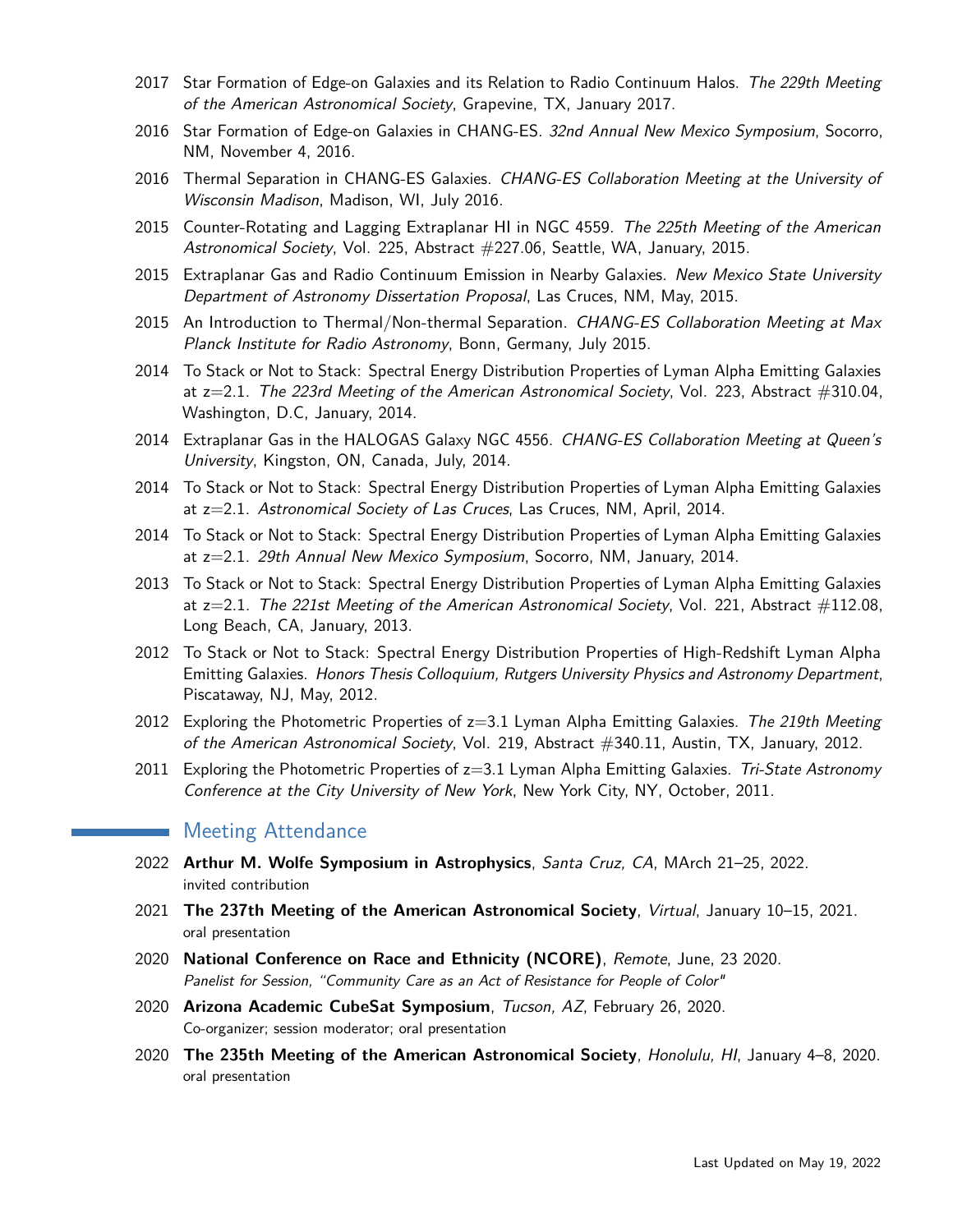- 2017 Star Formation of Edge-on Galaxies and its Relation to Radio Continuum Halos. The 229th Meeting of the American Astronomical Society, Grapevine, TX, January 2017.
- 2016 Star Formation of Edge-on Galaxies in CHANG-ES. 32nd Annual New Mexico Symposium, Socorro, NM, November 4, 2016.
- 2016 Thermal Separation in CHANG-ES Galaxies. CHANG-ES Collaboration Meeting at the University of Wisconsin Madison, Madison, WI, July 2016.
- 2015 Counter-Rotating and Lagging Extraplanar HI in NGC 4559. The 225th Meeting of the American Astronomical Society, Vol. 225, Abstract #227.06, Seattle, WA, January, 2015.
- 2015 Extraplanar Gas and Radio Continuum Emission in Nearby Galaxies. New Mexico State University Department of Astronomy Dissertation Proposal, Las Cruces, NM, May, 2015.
- 2015 An Introduction to Thermal/Non-thermal Separation. CHANG-ES Collaboration Meeting at Max Planck Institute for Radio Astronomy, Bonn, Germany, July 2015.
- 2014 To Stack or Not to Stack: Spectral Energy Distribution Properties of Lyman Alpha Emitting Galaxies at  $z=2.1$ . The 223rd Meeting of the American Astronomical Society, Vol. 223, Abstract  $\#310.04$ , Washington, D.C, January, 2014.
- 2014 Extraplanar Gas in the HALOGAS Galaxy NGC 4556. CHANG-ES Collaboration Meeting at Queen's University, Kingston, ON, Canada, July, 2014.
- 2014 To Stack or Not to Stack: Spectral Energy Distribution Properties of Lyman Alpha Emitting Galaxies at z=2.1. Astronomical Society of Las Cruces, Las Cruces, NM, April, 2014.
- 2014 To Stack or Not to Stack: Spectral Energy Distribution Properties of Lyman Alpha Emitting Galaxies at z=2.1. 29th Annual New Mexico Symposium, Socorro, NM, January, 2014.
- 2013 To Stack or Not to Stack: Spectral Energy Distribution Properties of Lyman Alpha Emitting Galaxies at  $z=2.1$ . The 221st Meeting of the American Astronomical Society, Vol. 221, Abstract  $\#112.08$ , Long Beach, CA, January, 2013.
- 2012 To Stack or Not to Stack: Spectral Energy Distribution Properties of High-Redshift Lyman Alpha Emitting Galaxies. Honors Thesis Colloquium, Rutgers University Physics and Astronomy Department, Piscataway, NJ, May, 2012.
- 2012 Exploring the Photometric Properties of  $z=3.1$  Lyman Alpha Emitting Galaxies. The 219th Meeting of the American Astronomical Society, Vol. 219, Abstract #340.11, Austin, TX, January, 2012.
- 2011 Exploring the Photometric Properties of z=3.1 Lyman Alpha Emitting Galaxies. Tri-State Astronomy Conference at the City University of New York, New York City, NY, October, 2011.

# Meeting Attendance

- 2022 **Arthur M. Wolfe Symposium in Astrophysics**, Santa Cruz, CA, MArch 21–25, 2022. invited contribution
- 2021 **The 237th Meeting of the American Astronomical Society**, Virtual, January 10–15, 2021. oral presentation
- 2020 **National Conference on Race and Ethnicity (NCORE)**, Remote, June, 23 2020. Panelist for Session, "Community Care as an Act of Resistance for People of Color"
- 2020 **Arizona Academic CubeSat Symposium**, Tucson, AZ, February 26, 2020. Co-organizer; session moderator; oral presentation
- 2020 **The 235th Meeting of the American Astronomical Society**, Honolulu, HI, January 4–8, 2020. oral presentation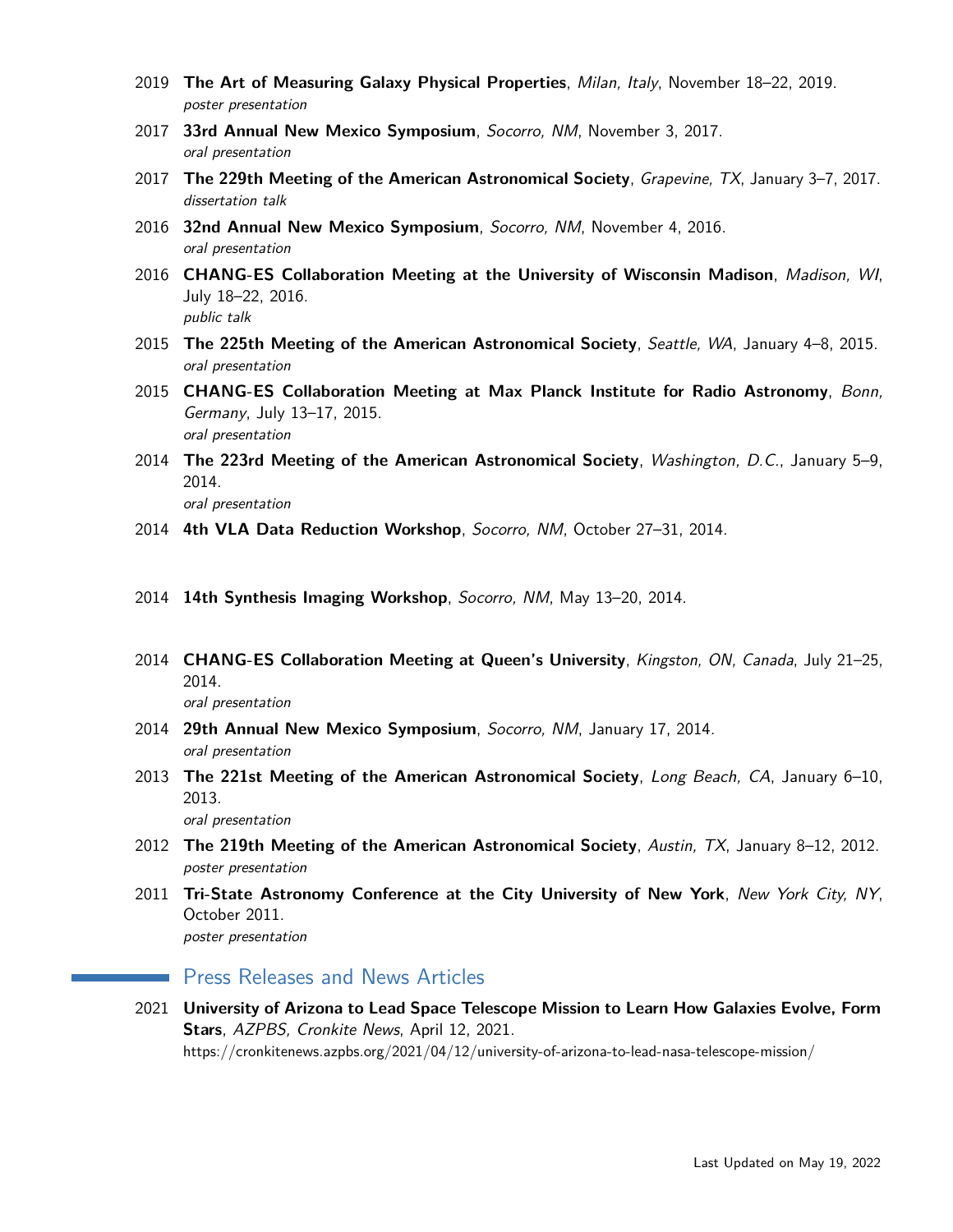- 2019 **The Art of Measuring Galaxy Physical Properties**, Milan, Italy, November 18–22, 2019. poster presentation
- 2017 **33rd Annual New Mexico Symposium**, Socorro, NM, November 3, 2017. oral presentation
- 2017 **The 229th Meeting of the American Astronomical Society**, Grapevine, TX, January 3–7, 2017. dissertation talk
- 2016 **32nd Annual New Mexico Symposium**, Socorro, NM, November 4, 2016. oral presentation
- 2016 **CHANG-ES Collaboration Meeting at the University of Wisconsin Madison**, Madison, WI, July 18–22, 2016. public talk
- 2015 **The 225th Meeting of the American Astronomical Society**, Seattle, WA, January 4–8, 2015. oral presentation
- 2015 **CHANG-ES Collaboration Meeting at Max Planck Institute for Radio Astronomy**, Bonn, Germany, July 13–17, 2015. oral presentation
- 2014 **The 223rd Meeting of the American Astronomical Society**, Washington, D.C., January 5–9, 2014. oral presentation
- 2014 **4th VLA Data Reduction Workshop**, Socorro, NM, October 27–31, 2014.
- 2014 **14th Synthesis Imaging Workshop**, Socorro, NM, May 13–20, 2014.
- 2014 **CHANG-ES Collaboration Meeting at Queen's University**, Kingston, ON, Canada, July 21–25, 2014.

oral presentation

- 2014 **29th Annual New Mexico Symposium**, Socorro, NM, January 17, 2014. oral presentation
- 2013 **The 221st Meeting of the American Astronomical Society**, Long Beach, CA, January 6–10, 2013.

oral presentation

- 2012 **The 219th Meeting of the American Astronomical Society**, Austin, TX, January 8–12, 2012. poster presentation
- 2011 **Tri-State Astronomy Conference at the City University of New York**, New York City, NY, October 2011. poster presentation

# **Press Releases and News Articles**

2021 **University of Arizona to Lead Space Telescope Mission to Learn How Galaxies Evolve, Form Stars**, AZPBS, Cronkite News, April 12, 2021. <https://cronkitenews.azpbs.org/2021/04/12/university-of-arizona-to-lead-nasa-telescope-mission/>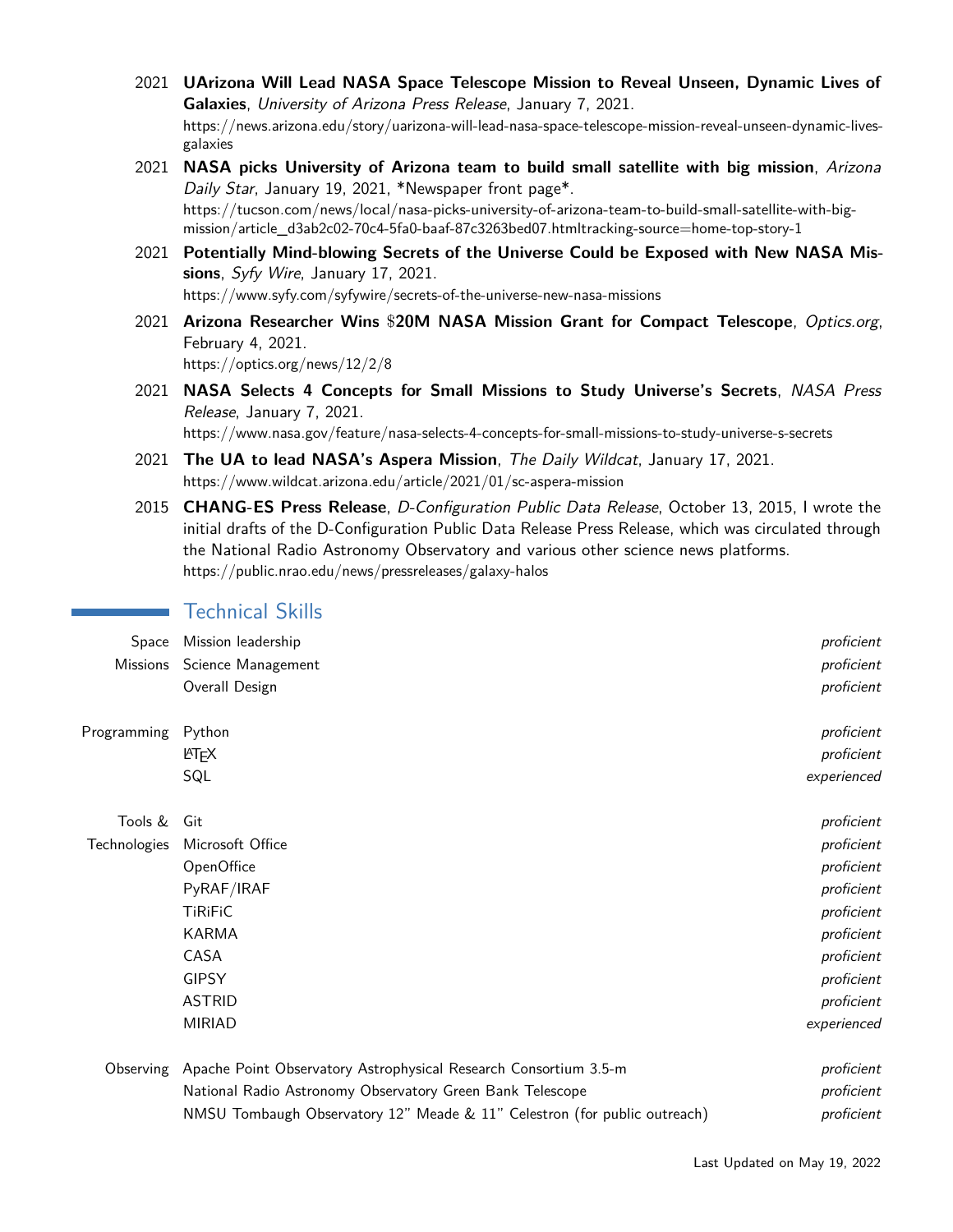- 2021 **UArizona Will Lead NASA Space Telescope Mission to Reveal Unseen, Dynamic Lives of Galaxies**, University of Arizona Press Release, January 7, 2021. [https://news.arizona.edu/story/uarizona-will-lead-nasa-space-telescope-mission-reveal-unseen-dynamic-lives](https://news.arizona.edu/story/uarizona-will-lead-nasa-space-telescope-mission-reveal-unseen-dynamic-lives-galaxies)[galaxies](https://news.arizona.edu/story/uarizona-will-lead-nasa-space-telescope-mission-reveal-unseen-dynamic-lives-galaxies)
- 2021 **NASA picks University of Arizona team to build small satellite with big mission**, Arizona Daily Star, January 19, 2021, \*Newspaper front page\*. [https://tucson.com/news/local/nasa-picks-university-of-arizona-team-to-build-small-satellite-with-big](https://tucson.com/news/local/nasa-picks-university-of-arizona-team-to-build-small-satellite-with-big-mission/article_d3ab2c02-70c4-5fa0-baaf-87c3263bed07.html##tracking-source=home-top-story-1)[mission/article\\_d3ab2c02-70c4-5fa0-baaf-87c3263bed07.htmltracking-source=home-top-story-1](https://tucson.com/news/local/nasa-picks-university-of-arizona-team-to-build-small-satellite-with-big-mission/article_d3ab2c02-70c4-5fa0-baaf-87c3263bed07.html##tracking-source=home-top-story-1)
- 2021 **Potentially Mind-blowing Secrets of the Universe Could be Exposed with New NASA Missions**, Syfy Wire, January 17, 2021. <https://www.syfy.com/syfywire/secrets-of-the-universe-new-nasa-missions>
- 2021 **Arizona Researcher Wins** \$**20M NASA Mission Grant for Compact Telescope**, Optics.org, February 4, 2021. <https://optics.org/news/12/2/8>
- 2021 **NASA Selects 4 Concepts for Small Missions to Study Universe's Secrets**, NASA Press Release, January 7, 2021. <https://www.nasa.gov/feature/nasa-selects-4-concepts-for-small-missions-to-study-universe-s-secrets>
- 2021 **The UA to lead NASA's Aspera Mission**, The Daily Wildcat, January 17, 2021. <https://www.wildcat.arizona.edu/article/2021/01/sc-aspera-mission>
- 2015 **CHANG-ES Press Release**, D-Configuration Public Data Release, October 13, 2015, I wrote the initial drafts of the D-Configuration Public Data Release Press Release, which was circulated through the National Radio Astronomy Observatory and various other science news platforms. <https://public.nrao.edu/news/pressreleases/galaxy-halos>

## Technical Skills

| Space        | Mission leadership                                                         | proficient  |
|--------------|----------------------------------------------------------------------------|-------------|
| Missions     | Science Management                                                         | proficient  |
|              | Overall Design                                                             | proficient  |
| Programming  | Python                                                                     | proficient  |
|              | <b>LAT<sub>F</sub>X</b>                                                    | proficient  |
|              | SQL                                                                        | experienced |
| Tools &      | Git                                                                        | proficient  |
| Technologies | Microsoft Office                                                           | proficient  |
|              | OpenOffice                                                                 | proficient  |
|              | PyRAF/IRAF                                                                 | proficient  |
|              | <b>TiRiFiC</b>                                                             | proficient  |
|              | <b>KARMA</b>                                                               | proficient  |
|              | CASA                                                                       | proficient  |
|              | <b>GIPSY</b>                                                               | proficient  |
|              | <b>ASTRID</b>                                                              | proficient  |
|              | <b>MIRIAD</b>                                                              | experienced |
|              | Observing Apache Point Observatory Astrophysical Research Consortium 3.5-m | proficient  |
|              | National Radio Astronomy Observatory Green Bank Telescope                  | proficient  |

NMSU Tombaugh Observatory 12" Meade & 11" Celestron (for public outreach) proficient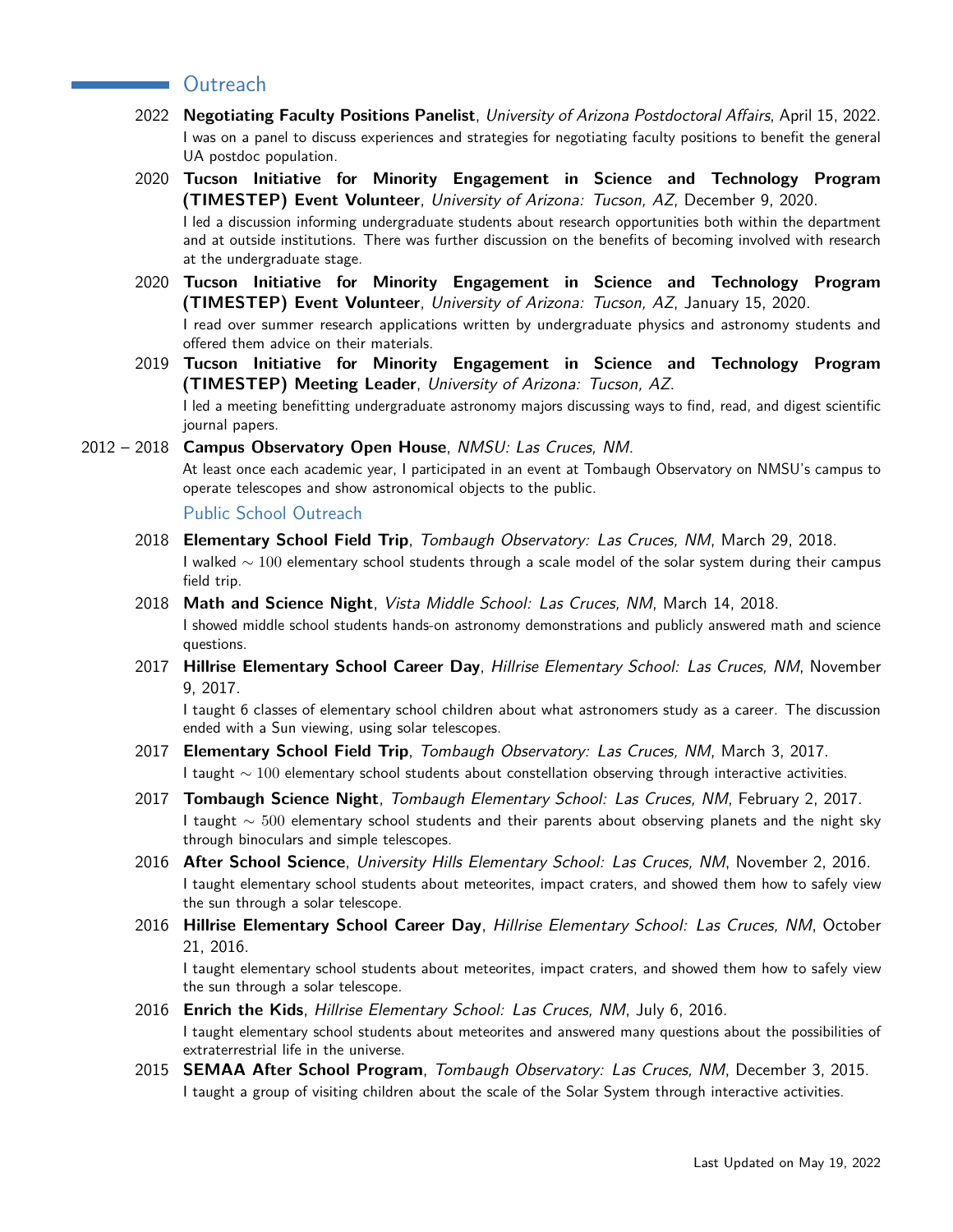## **Contract Contract**

- 2022 **Negotiating Faculty Positions Panelist**, University of Arizona Postdoctoral Affairs, April 15, 2022. I was on a panel to discuss experiences and strategies for negotiating faculty positions to benefit the general UA postdoc population.
- 2020 **Tucson Initiative for Minority Engagement in Science and Technology Program (TIMESTEP) Event Volunteer**, University of Arizona: Tucson, AZ, December 9, 2020. I led a discussion informing undergraduate students about research opportunities both within the department and at outside institutions. There was further discussion on the benefits of becoming involved with research at the undergraduate stage.
- 2020 **Tucson Initiative for Minority Engagement in Science and Technology Program (TIMESTEP) Event Volunteer**, University of Arizona: Tucson, AZ, January 15, 2020. I read over summer research applications written by undergraduate physics and astronomy students and offered them advice on their materials.
- 2019 **Tucson Initiative for Minority Engagement in Science and Technology Program (TIMESTEP) Meeting Leader**, University of Arizona: Tucson, AZ. I led a meeting benefitting undergraduate astronomy majors discussing ways to find, read, and digest scientific journal papers.

### 2012 – 2018 **Campus Observatory Open House**, NMSU: Las Cruces, NM.

At least once each academic year, I participated in an event at Tombaugh Observatory on NMSU's campus to operate telescopes and show astronomical objects to the public.

Public School Outreach

- 2018 **Elementary School Field Trip**, Tombaugh Observatory: Las Cruces, NM, March 29, 2018. I walked  $\sim$  100 elementary school students through a scale model of the solar system during their campus field trip.
- 2018 **Math and Science Night**, Vista Middle School: Las Cruces, NM, March 14, 2018. I showed middle school students hands-on astronomy demonstrations and publicly answered math and science questions.
- 2017 **Hillrise Elementary School Career Day**, Hillrise Elementary School: Las Cruces, NM, November 9, 2017.

I taught 6 classes of elementary school children about what astronomers study as a career. The discussion ended with a Sun viewing, using solar telescopes.

- 2017 **Elementary School Field Trip**, Tombaugh Observatory: Las Cruces, NM, March 3, 2017. I taught  $\sim$  100 elementary school students about constellation observing through interactive activities.
- 2017 **Tombaugh Science Night**, Tombaugh Elementary School: Las Cruces, NM, February 2, 2017. I taught  $\sim$  500 elementary school students and their parents about observing planets and the night sky through binoculars and simple telescopes.
- 2016 **After School Science**, University Hills Elementary School: Las Cruces, NM, November 2, 2016. I taught elementary school students about meteorites, impact craters, and showed them how to safely view the sun through a solar telescope.
- 2016 **Hillrise Elementary School Career Day**, Hillrise Elementary School: Las Cruces, NM, October 21, 2016.

I taught elementary school students about meteorites, impact craters, and showed them how to safely view the sun through a solar telescope.

- 2016 **Enrich the Kids**, Hillrise Elementary School: Las Cruces, NM, July 6, 2016. I taught elementary school students about meteorites and answered many questions about the possibilities of extraterrestrial life in the universe.
- 2015 **SEMAA After School Program**, Tombaugh Observatory: Las Cruces, NM, December 3, 2015. I taught a group of visiting children about the scale of the Solar System through interactive activities.